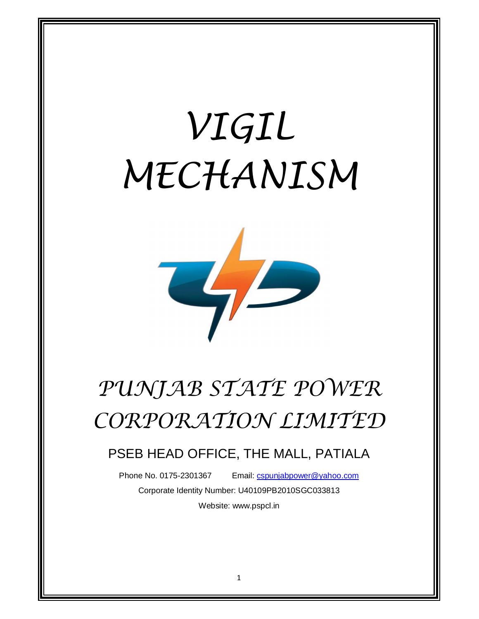# *VIGIL MECHANISM*



## *PUNJAB STATE POWER CORPORATION LIMITED*

### PSEB HEAD OFFICE, THE MALL, PATIALA

Phone No. 0175-2301367 Email: cspunjabpower@yahoo.com

Corporate Identity Number: U40109PB2010SGC033813 Website: www.pspcl.in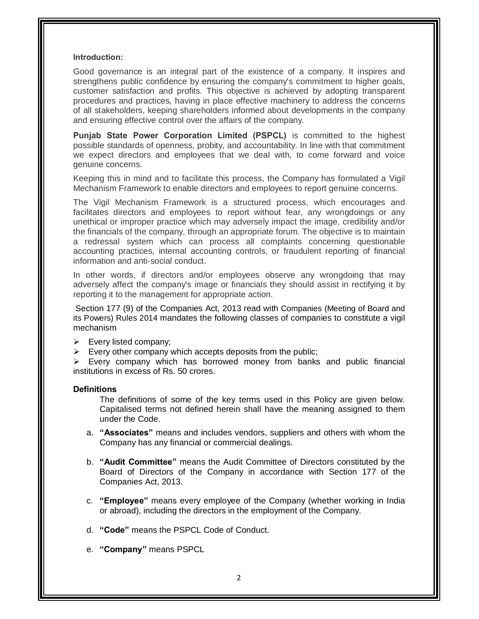#### **Introduction:**

Good governance is an integral part of the existence of a company. It inspires and strengthens public confidence by ensuring the company's commitment to higher goals, customer satisfaction and profits. This objective is achieved by adopting transparent procedures and practices, having in place effective machinery to address the concerns of all stakeholders, keeping shareholders informed about developments in the company and ensuring effective control over the affairs of the company.

**Punjab State Power Corporation Limited (PSPCL)** is committed to the highest possible standards of openness, probity, and accountability. In line with that commitment we expect directors and employees that we deal with, to come forward and voice genuine concerns.

Keeping this in mind and to facilitate this process, the Company has formulated a Vigil Mechanism Framework to enable directors and employees to report genuine concerns.

The Vigil Mechanism Framework is a structured process, which encourages and facilitates directors and employees to report without fear, any wrongdoings or any unethical or improper practice which may adversely impact the image, credibility and/or the financials of the company, through an appropriate forum. The objective is to maintain a redressal system which can process all complaints concerning questionable accounting practices, internal accounting controls, or fraudulent reporting of financial information and anti-social conduct.

In other words, if directors and/or employees observe any wrongdoing that may adversely affect the company's image or financials they should assist in rectifying it by reporting it to the management for appropriate action.

Section 177 (9) of the Companies Act, 2013 read with Companies (Meeting of Board and its Powers) Rules 2014 mandates the following classes of companies to constitute a vigil mechanism

- $\triangleright$  Every listed company;
- $\triangleright$  Every other company which accepts deposits from the public;

 $\triangleright$  Every company which has borrowed money from banks and public financial institutions in excess of Rs. 50 crores.

#### **Definitions**

The definitions of some of the key terms used in this Policy are given below. Capitalised terms not defined herein shall have the meaning assigned to them under the Code.

- a. **"Associates"** means and includes vendors, suppliers and others with whom the Company has any financial or commercial dealings.
- b. **"Audit Committee"** means the Audit Committee of Directors constituted by the Board of Directors of the Company in accordance with Section 177 of the Companies Act, 2013.
- c. **"Employee"** means every employee of the Company (whether working in India or abroad), including the directors in the employment of the Company.
- d. **"Code"** means the PSPCL Code of Conduct.
- e. **"Company"** means PSPCL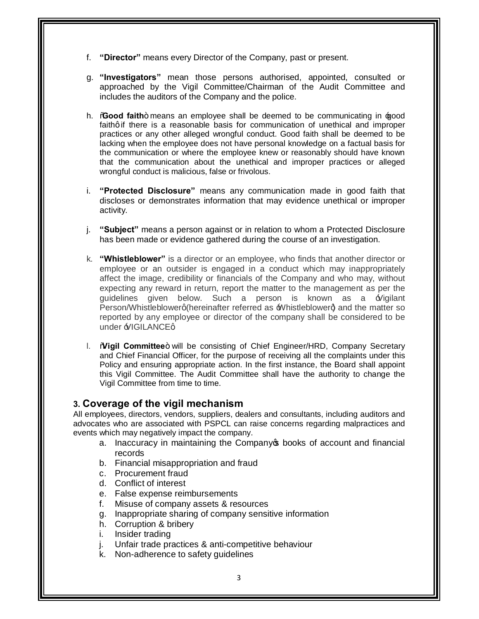- f. **"Director"** means every Director of the Company, past or present.
- g. **"Investigators"** mean those persons authorised, appointed, consulted or approached by the Vigil Committee/Chairman of the Audit Committee and includes the auditors of the Company and the police.
- h. **Good faith**+ means an employee shall be deemed to be communicating in **good** faithg if there is a reasonable basis for communication of unethical and improper practices or any other alleged wrongful conduct. Good faith shall be deemed to be lacking when the employee does not have personal knowledge on a factual basis for the communication or where the employee knew or reasonably should have known that the communication about the unethical and improper practices or alleged wrongful conduct is malicious, false or frivolous.
- i. **"Protected Disclosure"** means any communication made in good faith that discloses or demonstrates information that may evidence unethical or improper activity.
- j. **"Subject"** means a person against or in relation to whom a Protected Disclosure has been made or evidence gathered during the course of an investigation.
- k. **"Whistleblower"** is a director or an employee, who finds that another director or employee or an outsider is engaged in a conduct which may inappropriately affect the image, credibility or financials of the Company and who may, without expecting any reward in return, report the matter to the management as per the guidelines given below. Such a person is known as a  $\pm$ Vigilant Person/Whistleblowerg (hereinafter referred as Whistleblowerd and the matter so reported by any employee or director of the company shall be considered to be under  $\frac{1}{2}$ IGILANCEq
- 1. **Wigil Committee** + will be consisting of Chief Engineer/HRD, Company Secretary and Chief Financial Officer, for the purpose of receiving all the complaints under this Policy and ensuring appropriate action. In the first instance, the Board shall appoint this Vigil Committee. The Audit Committee shall have the authority to change the Vigil Committee from time to time.

#### **3. Coverage of the vigil mechanism**

All employees, directors, vendors, suppliers, dealers and consultants, including auditors and advocates who are associated with PSPCL can raise concerns regarding malpractices and events which may negatively impact the company.

- a. Inaccuracy in maintaining the Company tbooks of account and financial records
- b. Financial misappropriation and fraud
- c. Procurement fraud
- d. Conflict of interest
- e. False expense reimbursements
- f. Misuse of company assets & resources
- g. Inappropriate sharing of company sensitive information
- h. Corruption & bribery
- i. Insider trading
- j. Unfair trade practices & anti-competitive behaviour
- k. Non-adherence to safety guidelines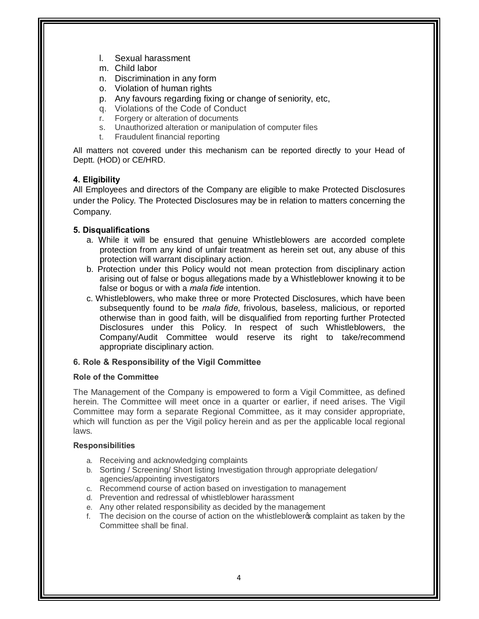- l. Sexual harassment
- m. Child labor
- n. Discrimination in any form
- o. Violation of human rights
- p. Any favours regarding fixing or change of seniority, etc,
- q. Violations of the Code of Conduct
- r. Forgery or alteration of documents
- s. Unauthorized alteration or manipulation of computer files
- t. Fraudulent financial reporting

All matters not covered under this mechanism can be reported directly to your Head of Deptt. (HOD) or CE/HRD.

#### **4. Eligibility**

All Employees and directors of the Company are eligible to make Protected Disclosures under the Policy. The Protected Disclosures may be in relation to matters concerning the Company.

#### **5. Disqualifications**

- a. While it will be ensured that genuine Whistleblowers are accorded complete protection from any kind of unfair treatment as herein set out, any abuse of this protection will warrant disciplinary action.
- b. Protection under this Policy would not mean protection from disciplinary action arising out of false or bogus allegations made by a Whistleblower knowing it to be false or bogus or with a *mala fide* intention.
- c. Whistleblowers, who make three or more Protected Disclosures, which have been subsequently found to be *mala fide*, frivolous, baseless, malicious, or reported otherwise than in good faith, will be disqualified from reporting further Protected Disclosures under this Policy. In respect of such Whistleblowers, the Company/Audit Committee would reserve its right to take/recommend appropriate disciplinary action.

#### **6. Role & Responsibility of the Vigil Committee**

#### **Role of the Committee**

The Management of the Company is empowered to form a Vigil Committee, as defined herein. The Committee will meet once in a quarter or earlier, if need arises. The Vigil Committee may form a separate Regional Committee, as it may consider appropriate, which will function as per the Vigil policy herein and as per the applicable local regional laws.

#### **Responsibilities**

- a. Receiving and acknowledging complaints
- b. Sorting / Screening/ Short listing Investigation through appropriate delegation/ agencies/appointing investigators
- c. Recommend course of action based on investigation to management
- d. Prevention and redressal of whistleblower harassment
- e. Any other related responsibility as decided by the management
- f. The decision on the course of action on the whistleblowers complaint as taken by the Committee shall be final.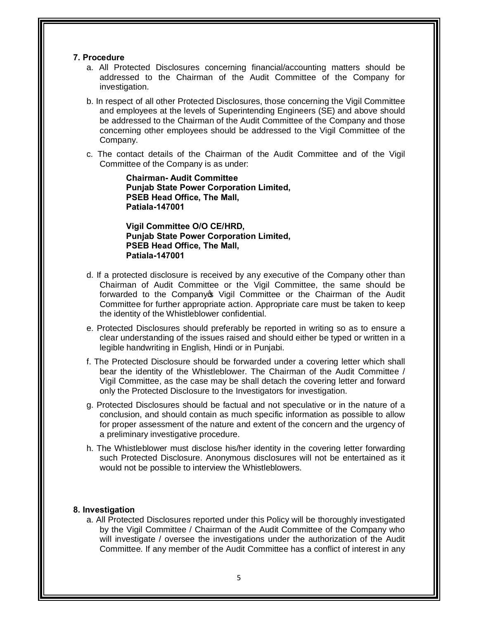#### **7. Procedure**

- a. All Protected Disclosures concerning financial/accounting matters should be addressed to the Chairman of the Audit Committee of the Company for investigation.
- b. In respect of all other Protected Disclosures, those concerning the Vigil Committee and employees at the levels of Superintending Engineers (SE) and above should be addressed to the Chairman of the Audit Committee of the Company and those concerning other employees should be addressed to the Vigil Committee of the Company.
- c. The contact details of the Chairman of the Audit Committee and of the Vigil Committee of the Company is as under:

**Chairman- Audit Committee Punjab State Power Corporation Limited, PSEB Head Office, The Mall, Patiala-147001**

**Vigil Committee O/O CE/HRD, Punjab State Power Corporation Limited, PSEB Head Office, The Mall, Patiala-147001**

- d. If a protected disclosure is received by any executive of the Company other than Chairman of Audit Committee or the Vigil Committee, the same should be forwarded to the Company Wigil Committee or the Chairman of the Audit Committee for further appropriate action. Appropriate care must be taken to keep the identity of the Whistleblower confidential.
- e. Protected Disclosures should preferably be reported in writing so as to ensure a clear understanding of the issues raised and should either be typed or written in a legible handwriting in English, Hindi or in Punjabi.
- f. The Protected Disclosure should be forwarded under a covering letter which shall bear the identity of the Whistleblower. The Chairman of the Audit Committee / Vigil Committee, as the case may be shall detach the covering letter and forward only the Protected Disclosure to the Investigators for investigation.
- g. Protected Disclosures should be factual and not speculative or in the nature of a conclusion, and should contain as much specific information as possible to allow for proper assessment of the nature and extent of the concern and the urgency of a preliminary investigative procedure.
- h. The Whistleblower must disclose his/her identity in the covering letter forwarding such Protected Disclosure. Anonymous disclosures will not be entertained as it would not be possible to interview the Whistleblowers.

#### **8. Investigation**

a. All Protected Disclosures reported under this Policy will be thoroughly investigated by the Vigil Committee / Chairman of the Audit Committee of the Company who will investigate / oversee the investigations under the authorization of the Audit Committee. If any member of the Audit Committee has a conflict of interest in any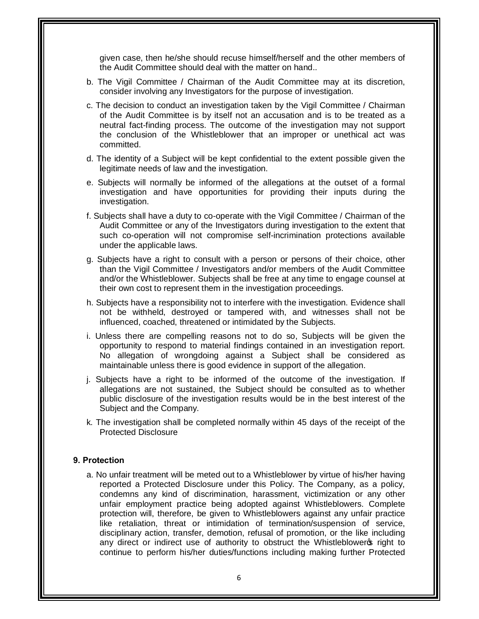given case, then he/she should recuse himself/herself and the other members of the Audit Committee should deal with the matter on hand..

- b. The Vigil Committee / Chairman of the Audit Committee may at its discretion, consider involving any Investigators for the purpose of investigation.
- c. The decision to conduct an investigation taken by the Vigil Committee / Chairman of the Audit Committee is by itself not an accusation and is to be treated as a neutral fact-finding process. The outcome of the investigation may not support the conclusion of the Whistleblower that an improper or unethical act was committed.
- d. The identity of a Subject will be kept confidential to the extent possible given the legitimate needs of law and the investigation.
- e. Subjects will normally be informed of the allegations at the outset of a formal investigation and have opportunities for providing their inputs during the investigation.
- f. Subjects shall have a duty to co-operate with the Vigil Committee / Chairman of the Audit Committee or any of the Investigators during investigation to the extent that such co-operation will not compromise self-incrimination protections available under the applicable laws.
- g. Subjects have a right to consult with a person or persons of their choice, other than the Vigil Committee / Investigators and/or members of the Audit Committee and/or the Whistleblower. Subjects shall be free at any time to engage counsel at their own cost to represent them in the investigation proceedings.
- h. Subjects have a responsibility not to interfere with the investigation. Evidence shall not be withheld, destroyed or tampered with, and witnesses shall not be influenced, coached, threatened or intimidated by the Subjects.
- i. Unless there are compelling reasons not to do so, Subjects will be given the opportunity to respond to material findings contained in an investigation report. No allegation of wrongdoing against a Subject shall be considered as maintainable unless there is good evidence in support of the allegation.
- j. Subjects have a right to be informed of the outcome of the investigation. If allegations are not sustained, the Subject should be consulted as to whether public disclosure of the investigation results would be in the best interest of the Subject and the Company.
- k. The investigation shall be completed normally within 45 days of the receipt of the Protected Disclosure

#### **9. Protection**

a. No unfair treatment will be meted out to a Whistleblower by virtue of his/her having reported a Protected Disclosure under this Policy. The Company, as a policy, condemns any kind of discrimination, harassment, victimization or any other unfair employment practice being adopted against Whistleblowers. Complete protection will, therefore, be given to Whistleblowers against any unfair practice like retaliation, threat or intimidation of termination/suspension of service, disciplinary action, transfer, demotion, refusal of promotion, or the like including any direct or indirect use of authority to obstruct the Whistleblower of right to continue to perform his/her duties/functions including making further Protected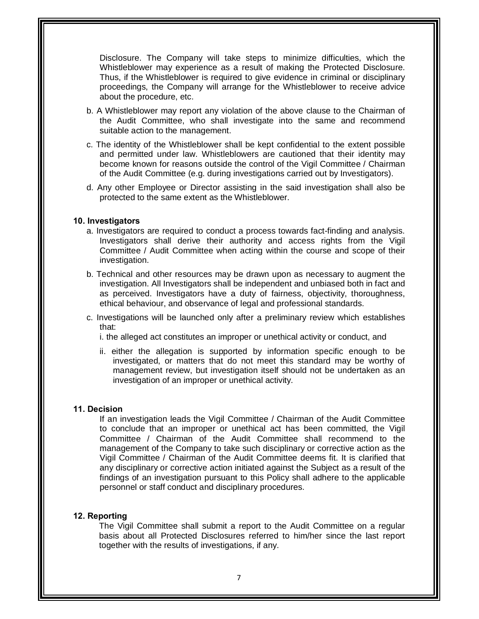Disclosure. The Company will take steps to minimize difficulties, which the Whistleblower may experience as a result of making the Protected Disclosure. Thus, if the Whistleblower is required to give evidence in criminal or disciplinary proceedings, the Company will arrange for the Whistleblower to receive advice about the procedure, etc.

- b. A Whistleblower may report any violation of the above clause to the Chairman of the Audit Committee, who shall investigate into the same and recommend suitable action to the management.
- c. The identity of the Whistleblower shall be kept confidential to the extent possible and permitted under law. Whistleblowers are cautioned that their identity may become known for reasons outside the control of the Vigil Committee / Chairman of the Audit Committee (e.g. during investigations carried out by Investigators).
- d. Any other Employee or Director assisting in the said investigation shall also be protected to the same extent as the Whistleblower.

#### **10. Investigators**

- a. Investigators are required to conduct a process towards fact-finding and analysis. Investigators shall derive their authority and access rights from the Vigil Committee / Audit Committee when acting within the course and scope of their investigation.
- b. Technical and other resources may be drawn upon as necessary to augment the investigation. All Investigators shall be independent and unbiased both in fact and as perceived. Investigators have a duty of fairness, objectivity, thoroughness, ethical behaviour, and observance of legal and professional standards.
- c. Investigations will be launched only after a preliminary review which establishes that:
	- i. the alleged act constitutes an improper or unethical activity or conduct, and
	- ii. either the allegation is supported by information specific enough to be investigated, or matters that do not meet this standard may be worthy of management review, but investigation itself should not be undertaken as an investigation of an improper or unethical activity.

#### **11. Decision**

If an investigation leads the Vigil Committee / Chairman of the Audit Committee to conclude that an improper or unethical act has been committed, the Vigil Committee / Chairman of the Audit Committee shall recommend to the management of the Company to take such disciplinary or corrective action as the Vigil Committee / Chairman of the Audit Committee deems fit. It is clarified that any disciplinary or corrective action initiated against the Subject as a result of the findings of an investigation pursuant to this Policy shall adhere to the applicable personnel or staff conduct and disciplinary procedures.

#### **12. Reporting**

The Vigil Committee shall submit a report to the Audit Committee on a regular basis about all Protected Disclosures referred to him/her since the last report together with the results of investigations, if any.